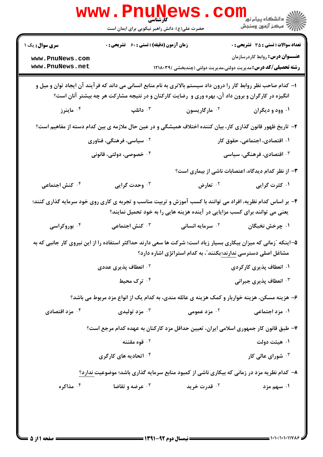|                                                                                                                                                                                                                       | <b>www.Pnune</b><br>کار شناسے<br>حضرت علی(ع): دانش راهبر نیکویی برای ایمان است                                  |                                                                             | الشڪاه پيام نور دانشڪاه پيام<br>الاسڪر آزمون وسنجش  |
|-----------------------------------------------------------------------------------------------------------------------------------------------------------------------------------------------------------------------|-----------------------------------------------------------------------------------------------------------------|-----------------------------------------------------------------------------|-----------------------------------------------------|
| <b>سری سوال :</b> یک ۱                                                                                                                                                                                                | <b>زمان آزمون (دقیقه) : تستی : 60 ٪ تشریحی : 0</b>                                                              |                                                                             | <b>تعداد سوالات : تستی : 35 تشریحی : 0</b>          |
| www.PnuNews.com<br>www.PnuNews.net                                                                                                                                                                                    |                                                                                                                 | <b>رشته تحصیلی/کد درس:</b> مدیریت دولتی،مدیریت دولتی (چندبخشی )۱۲۱۸۰۳۹      | <b>عنـــوان درس:</b> روابط کاردرسازمان              |
| ۱– کدام صاحب نظر روابط کار را درون داد سیستم بالاتری به نام منابع انسانی می داند که فرآیند آن ایجاد توان و میل و<br>انگیزه در کارگران و برون داد آن، بهره وری و رضایت کارکنان و در نتیجه مشارکت هر چه بیشتر آنان است؟ |                                                                                                                 |                                                                             |                                                     |
| ا ماينرز $\cdot$ ۴ .                                                                                                                                                                                                  | دانلپ $\cdot$                                                                                                   | ۰ <sup>۲</sup> مارگاریسون                                                   | ۰۱ وود و دیگران                                     |
|                                                                                                                                                                                                                       | ۲–  تاریخ ظهور قانون گذاری کار، بیان کننده اختلاف همیشگی و در عین حال ملازمه ی بین کدام دسته از مفاهیم است؟     |                                                                             |                                                     |
|                                                                                                                                                                                                                       | ۰۱ اقتصادی، اجتماعی، حقوق کار<br><sup>۲ .</sup> سیاسی، فرهنگی، فناوری                                           |                                                                             |                                                     |
|                                                                                                                                                                                                                       | ۰۴ خصوصی، دولتی، قانونی                                                                                         | ا اقتصادی، فرهنگی، سیاسی $\cdot$                                            |                                                     |
|                                                                                                                                                                                                                       |                                                                                                                 |                                                                             | ۳- از نظر کدام دیدگاه، اعتصابات ناشی از بیماری است؟ |
| ۰۴ کنش اجتماعی                                                                                                                                                                                                        | ۰۳ وحدت گرایی                                                                                                   | ۰ <sup>۲</sup> تعارض                                                        | ۰۱ کثرت گرایی                                       |
|                                                                                                                                                                                                                       | ۴- بر اساس کدام نظریه، افراد می توانند با کسب آموزش و تربیت مناسب و تجربه ی کاری روی خود سرمایه گذاری کنند؛     | یعنی می توانند برای کسب مزایایی در آینده هزینه هایی را به خود تحمیل نمایند؟ |                                                     |
| ۰۴ بوروکراسی                                                                                                                                                                                                          | لاس اجتماعی $\cdot^{\mathsf{y}}$                                                                                | <b>10 سرمایه انسانی</b>                                                     | ۰۱ چرخش نخبگان                                      |
|                                                                                                                                                                                                                       | ۵–اینکه آزمانی که میزان بیکاری بسیار زیاد است؛ شرکت ها سعی دارند حداکثر استفاده را از این نیروی کار جانبی که به | مشاغل اصلی دسترسی ندارند؛بکنند ؒ، به کدام استراتژی اشاره دارد؟              |                                                     |
|                                                                                                                                                                                                                       | ۰۲ انعطاف پذیری عددی                                                                                            |                                                                             | ۰۱ انعطاف پذیری کارکردی                             |
|                                                                                                                                                                                                                       | ۰۴ ترک محیط                                                                                                     |                                                                             | ۰۳ انعطاف پذیری جبرانی                              |
|                                                                                                                                                                                                                       | ۶– هزینه مسکن، هزینه خواربار و کمک هزینه ی عائله مندی، به کدام یک از انواع مزد مربوط می باشد؟                   |                                                                             |                                                     |
| ۰ <sup>۴</sup> مزد اقتصادی                                                                                                                                                                                            | ەزد توليدى $\cdot^{\mathsf{r}}$                                                                                 | ۰ <sup>۲</sup> مزد عمومی                                                    | ۰۱ مزد اجتماعی                                      |
|                                                                                                                                                                                                                       | ۷– طبق قانون کار جمهوری اسلامی ایران، تعیین حداقل مزد کارکنان به عهده کدام مرجع است؟                            |                                                                             |                                                     |
|                                                                                                                                                                                                                       | ۰ <sup>۲</sup> قوه مقننه                                                                                        |                                                                             | ۰۱ هیئت دولت                                        |
|                                                                                                                                                                                                                       | ۰۴ اتحادیه های کارگری                                                                                           |                                                                             | شورای عالی کار "                                    |
|                                                                                                                                                                                                                       | ۸– کدام نظریه مزد در زمانی که بیکاری ناشی از کمبود منابع سرمایه گذاری باشد؛ موضوعیت ندارد؟                      |                                                                             |                                                     |
| ۰۴ مذاکره                                                                                                                                                                                                             | <b>40 عرضه و تقاضا</b>                                                                                          | ۰ <sup>۲</sup> قدرت خرید                                                    | ۰۱ سهم مزد                                          |
|                                                                                                                                                                                                                       |                                                                                                                 |                                                                             |                                                     |
|                                                                                                                                                                                                                       |                                                                                                                 |                                                                             |                                                     |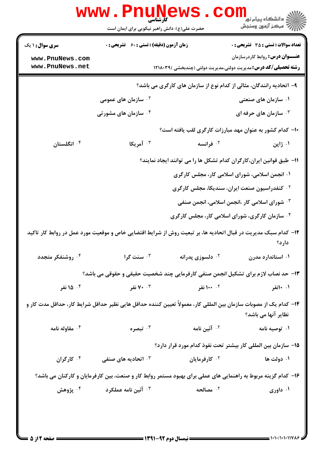|                                                                                                                                          | WWW.Pnuw<br>حضرت علی(ع): دانش راهبر نیکویی برای ایمان است                                                      |                                                                                                       | ڪ دانشڪاه پيا <sub>م</sub> نور<br><mark>ر</mark> 7 مرڪز آزمون وسنڊش                                              |
|------------------------------------------------------------------------------------------------------------------------------------------|----------------------------------------------------------------------------------------------------------------|-------------------------------------------------------------------------------------------------------|------------------------------------------------------------------------------------------------------------------|
| <b>سری سوال :</b> ۱ یک                                                                                                                   | <b>زمان آزمون (دقیقه) : تستی : 60 ٪ تشریحی : 0</b>                                                             |                                                                                                       | <b>تعداد سوالات : تستی : 35 تشریحی : 0</b>                                                                       |
| www.PnuNews.com<br>www.PnuNews.net                                                                                                       |                                                                                                                |                                                                                                       | <b>عنـــوان درس:</b> روابط کاردرسازمان<br><b>رشته تحصیلی/کد درس:</b> مدیریت دولتی،مدیریت دولتی (چندبخشی )۱۲۱۸۰۳۹ |
|                                                                                                                                          | ۹- اتحادیه رانندگان، مثالی از کدام نوع از سازمان های کارگری می باشد؟                                           |                                                                                                       |                                                                                                                  |
|                                                                                                                                          | ۰ <sup>۲</sup> سازمان های عمومی                                                                                |                                                                                                       | ۰۱ سازمان های صنعتی                                                                                              |
|                                                                                                                                          | ۰ <sup>۴</sup> سازمان های مشور <i>ت</i> ی                                                                      |                                                                                                       | شازمان های حرفه ای $\cdot$ ۲                                                                                     |
|                                                                                                                                          |                                                                                                                |                                                                                                       | ۱۰– کدام کشور به عنوان مهد مبارزات کارگری لقب یافته است؟                                                         |
| ۰۴ انگلستان                                                                                                                              | ۰ <sup>۳</sup> آمریکا                                                                                          | ۰۲ فرانسه                                                                                             | ۰۱ ژاپن                                                                                                          |
|                                                                                                                                          |                                                                                                                |                                                                                                       | 11- طبق قوانین ایران،کارگران کدام تشکل ها را می توانند ایجاد نمایند؟                                             |
|                                                                                                                                          |                                                                                                                |                                                                                                       | ۰۱ انجمن اسلامی، شورای اسلامی کار، مجلس کارگری                                                                   |
|                                                                                                                                          |                                                                                                                |                                                                                                       | <sup>۲ .</sup> کنفدراسیون صنعت ایران، سندیکا، مجلس کارگری                                                        |
|                                                                                                                                          |                                                                                                                |                                                                                                       | <b>۰۳ شورای اسلامی کار ،انجمن اسلامی، انجمن صنفی</b>                                                             |
|                                                                                                                                          |                                                                                                                |                                                                                                       | ۰۴ سازمان کارگری، شورای اسلامی کار، مجلس کارگری                                                                  |
| ۱۲– کدام سبک مدیریت در قبال اتحادیه ها، بر تبعیت روش از شرایط اقتضایی خاص و موقعیت مورد عمل در روابط کار تاکید<br>دارد؟                  |                                                                                                                |                                                                                                       |                                                                                                                  |
| ۰۴ روشنفکر متجدد                                                                                                                         | ۰ <sup>۳</sup> سنت گرا                                                                                         | دلسوزی پدرانه $\cdot$ ۲                                                                               | ۰۱ استاندارد مدرن                                                                                                |
|                                                                                                                                          | ۱۳- حد نصاب لازم برای تشکیل انجمن صنفی کارفرمایی چند شخصیت حقیقی و حقوقی می باشد؟                              |                                                                                                       |                                                                                                                  |
| ۰۴ ۱۵ نفر                                                                                                                                |                                                                                                                | ۲ <b>۱۰۰</b> نفر می است ۲۰۰۳ نفر می است تا ۷۰ نفر می است تا ۲۰۰۳ نفر می است تا ۲۰۰۳ نفر می است تا ۲۰۰ | ۰۱ ۱۰نفر                                                                                                         |
| ۱۴– کدام یک از مصوبات سازمان بین المللی کار، معمولاً تعیین کننده حداقل هایی نظیر حداقل شرایط کار، حداقل مدت کار و<br>نظایر آنها می باشد؟ |                                                                                                                |                                                                                                       |                                                                                                                  |
| ۰۴ مقاوله نامه                                                                                                                           | تبصره $\cdot$ "                                                                                                | ۰ <sup>۲</sup> آئین نامه                                                                              | ۰۱ توصیه نامه                                                                                                    |
|                                                                                                                                          |                                                                                                                |                                                                                                       | ۱۵– سازمان بین المللی کار بیشتر تحت نفوذ کدام مورد قرار دارد؟                                                    |
| ۰۴ کارگران                                                                                                                               | اتحادیه های صنفی $\cdot$                                                                                       | ۰ <sup>۲</sup> کارفرمایان                                                                             | ۰۱ دولت ها                                                                                                       |
|                                                                                                                                          | ۱۶– کدام گزینه مربوط به راهنمایی های عملی برای بهبود مستمر روابط کار و صنعت، بین کارفرمایان و کارکنان می باشد؟ |                                                                                                       |                                                                                                                  |
| ۰۴ پژوهش                                                                                                                                 | ۰ <sup>۳</sup> آئین نامه عملکرد                                                                                | ۰ <sup>۲</sup> مصالحه                                                                                 | ۰۱ داوری                                                                                                         |
|                                                                                                                                          |                                                                                                                |                                                                                                       |                                                                                                                  |
|                                                                                                                                          |                                                                                                                |                                                                                                       |                                                                                                                  |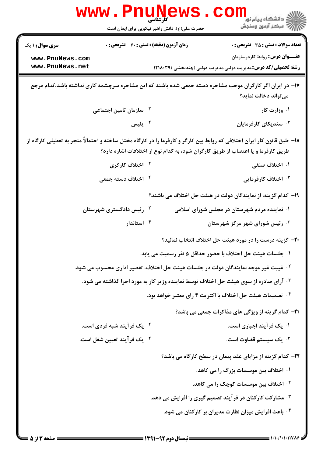|                                                                                              | WWW.PILUN<br>کارشناسی<br>حضرت علی(ع): دانش راهبر نیکویی برای ایمان است                         |  | ڪ دانشڪاه پيا <sub>م</sub> نور<br><mark>ر</mark> 7 مرڪز آزمون وسنڊش                                                                                                                                           |
|----------------------------------------------------------------------------------------------|------------------------------------------------------------------------------------------------|--|---------------------------------------------------------------------------------------------------------------------------------------------------------------------------------------------------------------|
| <b>سری سوال :</b> ۱ یک<br>www.PnuNews.com<br>www.PnuNews.net                                 | زمان آزمون (دقیقه) : تستی : 60 ٪ تشریحی : 0                                                    |  | <b>تعداد سوالات : تستی : 35 تشریحی : 0</b><br><b>عنـــوان درس:</b> روابط کاردرسازمان<br><b>رشته تحصیلی/کد درس:</b> مدیریت دولتی،مدیریت دولتی (چندبخشی )۱۲۱۸۰۳۹                                                |
|                                                                                              |                                                                                                |  | ۱۷– در ایران اگر کارگران موجب مشاجره دسته جمعی شده باشند که این مشاجره سرچشمه کاری نداشته باشد،کدام مرجع<br>می تواند دخالت نماید؟                                                                             |
|                                                                                              | <sup>۲ .</sup> سازمان تامین اجتماعی                                                            |  | ۰۱ وزارت کار                                                                                                                                                                                                  |
|                                                                                              | ۰۴ پلیس                                                                                        |  | شندیکای کارفرمایان $\cdot$ "                                                                                                                                                                                  |
|                                                                                              |                                                                                                |  | ۱۸– طبق قانون کار ایران اختلافی که روابط بین کارگر و کارفرما را در کارگاه مختل ساخته و احتمالاً منجر به تعطیلی کارگاه از<br>طریق کارفرما و یا اعتصاب از طریق کارگران شود، به کدام نوع از اختلافات اشاره دارد؟ |
|                                                                                              | ۰۲ اختلاف کارگری                                                                               |  | ۰۱ اختلاف صنفی                                                                                                                                                                                                |
|                                                                                              | ۰ <sup>۴</sup> اختلاف دسته جمعی                                                                |  | ۰۳ اختلاف کارفرمایی                                                                                                                                                                                           |
|                                                                                              |                                                                                                |  | ۱۹– کدام گزینه، از نمایندگان دولت در هیئت حل اختلاف می باشند؟                                                                                                                                                 |
|                                                                                              | ۰ <sup>۲</sup> رئیس دادگستری شهرستان                                                           |  | ۰۱ نماینده مردم شهرستان در مجلس شورای اسلامی                                                                                                                                                                  |
|                                                                                              | ۰۴ استاندار                                                                                    |  | ۰ <sup>۳</sup> رئیس شورای شهر مرکز شهرستان                                                                                                                                                                    |
|                                                                                              |                                                                                                |  | +٢- گزینه درست را در مورد هیئت حل اختلاف انتخاب نمائید؟                                                                                                                                                       |
|                                                                                              |                                                                                                |  | ٠١ جلسات هيئت حل اختلاف با حضور حداقل ۵ نفر رسميت مي يابد.                                                                                                                                                    |
|                                                                                              | <sup>۲ .</sup> غیبت غیر موجه نمایندگان دولت در جلسات هیئت حل اختلاف، تقصیر اداری محسوب می شود. |  |                                                                                                                                                                                                               |
| <b>۰۳ آرای صادره از سوی هیئت حل اختلاف توسط نماینده وزیر کار به مورد اجرا گذاشته می شود.</b> |                                                                                                |  |                                                                                                                                                                                                               |
|                                                                                              |                                                                                                |  | ۰ <sup>۴</sup> تصمیمات هیئت حل اختلاف با اکثریت ۴ رای معتبر خواهد بود.                                                                                                                                        |
|                                                                                              |                                                                                                |  | <b>۲۱</b> - کدام گزینه از ویژگی های مذاکرات جمعی می باشد؟                                                                                                                                                     |
|                                                                                              | ۰ <sup>۲</sup> یک فر آیند شبه فردی است.                                                        |  | ۰۱ یک فرآیند اجباری است.                                                                                                                                                                                      |
|                                                                                              | ۰۴ یک فرآیند تعیین شغل است.                                                                    |  | ۰۳ یک سیستم قضاوت است.                                                                                                                                                                                        |
|                                                                                              |                                                                                                |  | ۲۲– کدام گزینه از مزایای عقد پیمان در سطح کارگاه می باشد؟                                                                                                                                                     |
|                                                                                              |                                                                                                |  | ۰۱ اختلاف بین موسسات بزرگ را می کاهد.                                                                                                                                                                         |
|                                                                                              |                                                                                                |  | <sup>۲</sup> ۰ اختلاف بین موسسات کوچک را می کاهد.                                                                                                                                                             |
|                                                                                              |                                                                                                |  | ۰۳ مشارکت کارکنان در فرآیند تصمیم گیری را افزایش می دهد.                                                                                                                                                      |
|                                                                                              |                                                                                                |  | ۰۴ باعث افزایش میزان نظارت مدیران بر کارکنان می شود.                                                                                                                                                          |
|                                                                                              |                                                                                                |  |                                                                                                                                                                                                               |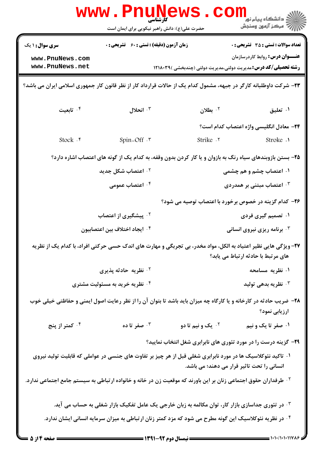|                                                                                                                    | <b>WWW.PILLINE</b><br>حضرت علی(ع): دانش راهبر نیکویی برای ایمان است                                                         |                                                                        | ڪ دانشڪاه پيا <sub>م</sub> نور<br><mark>∕</mark> 7 مرڪز آزمون وسنڊش                  |  |
|--------------------------------------------------------------------------------------------------------------------|-----------------------------------------------------------------------------------------------------------------------------|------------------------------------------------------------------------|--------------------------------------------------------------------------------------|--|
| <b>سری سوال : ۱ یک</b><br>www.PnuNews.com<br>www.PnuNews.net                                                       | زمان آزمون (دقیقه) : تستی : 60 ٪ تشریحی : 0                                                                                 | <b>رشته تحصیلی/کد درس:</b> مدیریت دولتی،مدیریت دولتی (چندبخشی )۱۲۱۸۰۳۹ | <b>تعداد سوالات : تستی : 35 تشریحی : 0</b><br><b>عنـــوان درس:</b> روابط کاردرسازمان |  |
|                                                                                                                    | ۲۳- شرکت داوطلبانه کارگر در جبهه، مشمول کدام یک از حالات قرارداد کار از نظر قانون کار جمهوری اسلامی ایران می باشد؟          |                                                                        |                                                                                      |  |
| ا تابعیت $\cdot$ ۴                                                                                                 | انحلال $\cdot$                                                                                                              | $\cdot$ بطلان                                                          | ۰۱ تعلیق                                                                             |  |
|                                                                                                                    |                                                                                                                             |                                                                        | ٢۴– معادل انگلیسی واژه اعتصاب کدام است؟                                              |  |
| Stock . ۴                                                                                                          | Spin-Off .*                                                                                                                 | Strike .Y                                                              | Stroke .1                                                                            |  |
| ۲۵- بستن بازوبندهای سیاه رنگ به بازوان و یا کار کردن بدون وقفه، به کدام یک از گونه های اعتصاب اشاره دارد؟          |                                                                                                                             |                                                                        |                                                                                      |  |
|                                                                                                                    | ۰ <sup>۲</sup> اعتصاب شکل جدید                                                                                              |                                                                        | ۰۱ اعتصاب چشم و هم چشمی                                                              |  |
|                                                                                                                    | ۰۴ اعتصاب عمومی                                                                                                             |                                                                        | اعتصاب مبتنی بر همدردی $\cdot$                                                       |  |
|                                                                                                                    | ۲۶- کدام گزینه در خصوص برخورد با اعتصاب توصیه می شود؟                                                                       |                                                                        |                                                                                      |  |
|                                                                                                                    | <sup>۲ .</sup> پیشگیری از اعتصاب                                                                                            |                                                                        | ۰۱ تصمیم گیری فردی                                                                   |  |
|                                                                                                                    | ۰۴ ایجاد اختلاف بین اعتصابیون                                                                                               |                                                                        | ۰ <sup>۳</sup> برنامه ریزی نیروی انسانی                                              |  |
|                                                                                                                    | ۲۷- ویژگی هایی نظیر اعتیاد به الکل، مواد مخدر، بی تجربگی و مهارت های اندک حسی حرکتی افراد، با کدام یک از نظریه              |                                                                        | های مرتبط با حادثه ارتباط می یابد؟                                                   |  |
|                                                                                                                    | ۰ <sup>۲</sup> نظریه حادثه پذیری                                                                                            |                                                                        | ۰۱ نظریه مسامحه                                                                      |  |
|                                                                                                                    | ۰۴ نظریه خرید به مسئولیت مشتری                                                                                              |                                                                        | نظریه بدهی تولید $\cdot^{\mathtt{w}}$                                                |  |
|                                                                                                                    | ۲۸- ضریب حادثه در کارخانه و یا کارگاه چه میزان باید باشد تا بتوان آن را از نظر رعایت اصول ایمنی و حفاظتی خیلی خوب           |                                                                        | ارزیابی نمود؟                                                                        |  |
| ۰۴ کمتر از پنج                                                                                                     | مفر تا ده $\cdot$ ۳                                                                                                         | <sup>7.</sup> یک و نیم تا دو                                           | ۰۱ صفر تا یک و نیم                                                                   |  |
|                                                                                                                    |                                                                                                                             | ۲۹- گزینه درست را در مورد تئوری های نابرابری شغل انتخاب نمایید؟        |                                                                                      |  |
|                                                                                                                    | ۰۱ تاکید نئوکلاسیک ها در مورد نابرابری شغلی قبل از هر چیز بر تفاوت های جنسی در عواملی که قابلیت تولید نیروی                 | انسانی را تحت تاثیر قرار می دهند؛ می باشد.                             |                                                                                      |  |
|                                                                                                                    | <sup>۲ .</sup> طرفداران حقوق اجتماعی زنان بر این باورند که موقعیت زن در خانه و خانواده ارتباطی به سیستم جامع اجتماعی ندارد. |                                                                        |                                                                                      |  |
| ۰۳ در تئوری جداسازی بازار کار، توان مکالمه به زبان خارجی یک عامل تفکیک بازار شغلی به حساب می آید.                  |                                                                                                                             |                                                                        |                                                                                      |  |
| <sup>۰۴</sup> در نظریه نئوکلاسیک این گونه مطرح می شود که مزد کمتر زنان ارتباطی به میزان سرمایه انسانی ایشان ندارد. |                                                                                                                             |                                                                        |                                                                                      |  |
|                                                                                                                    |                                                                                                                             |                                                                        |                                                                                      |  |